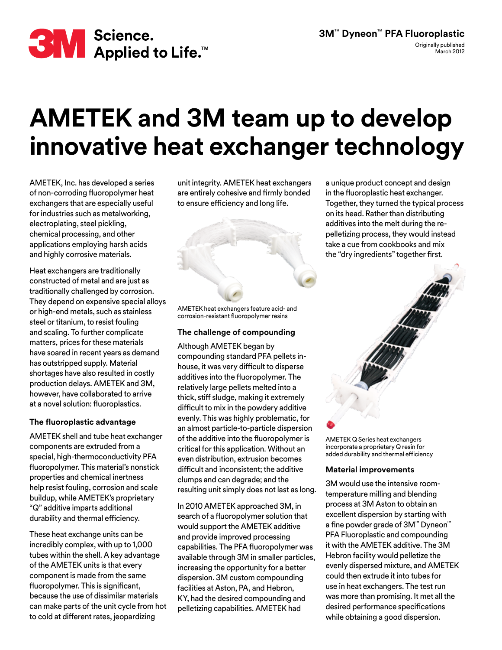

## **AMETEK and 3M team up to develop innovative heat exchanger technology**

AMETEK, Inc. has developed a series of non-corroding fluoropolymer heat exchangers that are especially useful for industries such as metalworking, electroplating, steel pickling, chemical processing, and other applications employing harsh acids and highly corrosive materials.

Heat exchangers are traditionally constructed of metal and are just as traditionally challenged by corrosion. They depend on expensive special alloys or high-end metals, such as stainless steel or titanium, to resist fouling and scaling. To further complicate matters, prices for these materials have soared in recent years as demand has outstripped supply. Material shortages have also resulted in costly production delays. AMETEK and 3M, however, have collaborated to arrive at a novel solution: fluoroplastics.

## **The fluoroplastic advantage**

AMETEK shell and tube heat exchanger components are extruded from a special, high-thermoconductivity PFA fluoropolymer. This material's nonstick properties and chemical inertness help resist fouling, corrosion and scale buildup, while AMETEK's proprietary "Q" additive imparts additional durability and thermal efficiency.

These heat exchange units can be incredibly complex, with up to 1,000 tubes within the shell. A key advantage of the AMETEK units is that every component is made from the same fluoropolymer. This is significant, because the use of dissimilar materials can make parts of the unit cycle from hot to cold at different rates, jeopardizing

unit integrity. AMETEK heat exchangers are entirely cohesive and firmly bonded to ensure efficiency and long life.



AMETEK heat exchangers feature acid- and corrosion-resistant fluoropolymer resins

## **The challenge of compounding**

Although AMETEK began by compounding standard PFA pellets inhouse, it was very difficult to disperse additives into the fluoropolymer. The relatively large pellets melted into a thick, stiff sludge, making it extremely difficult to mix in the powdery additive evenly. This was highly problematic, for an almost particle-to-particle dispersion of the additive into the fluoropolymer is critical for this application. Without an even distribution, extrusion becomes difficult and inconsistent; the additive clumps and can degrade; and the resulting unit simply does not last as long.

In 2010 AMETEK approached 3M, in search of a fluoropolymer solution that would support the AMETEK additive and provide improved processing capabilities. The PFA fluoropolymer was available through 3M in smaller particles, increasing the opportunity for a better dispersion. 3M custom compounding facilities at Aston, PA, and Hebron, KY, had the desired compounding and pelletizing capabilities. AMETEK had

a unique product concept and design in the fluoroplastic heat exchanger. Together, they turned the typical process on its head. Rather than distributing additives into the melt during the repelletizing process, they would instead take a cue from cookbooks and mix the "dry ingredients" together first.



AMETEK Q Series heat exchangers incorporate a proprietary Q resin for added durability and thermal efficiency

## **Material improvements**

3M would use the intensive roomtemperature milling and blending process at 3M Aston to obtain an excellent dispersion by starting with a fine powder grade of 3M™ Dyneon™ PFA Fluoroplastic and compounding it with the AMETEK additive. The 3M Hebron facility would pelletize the evenly dispersed mixture, and AMETEK could then extrude it into tubes for use in heat exchangers. The test run was more than promising. It met all the desired performance specifications while obtaining a good dispersion.